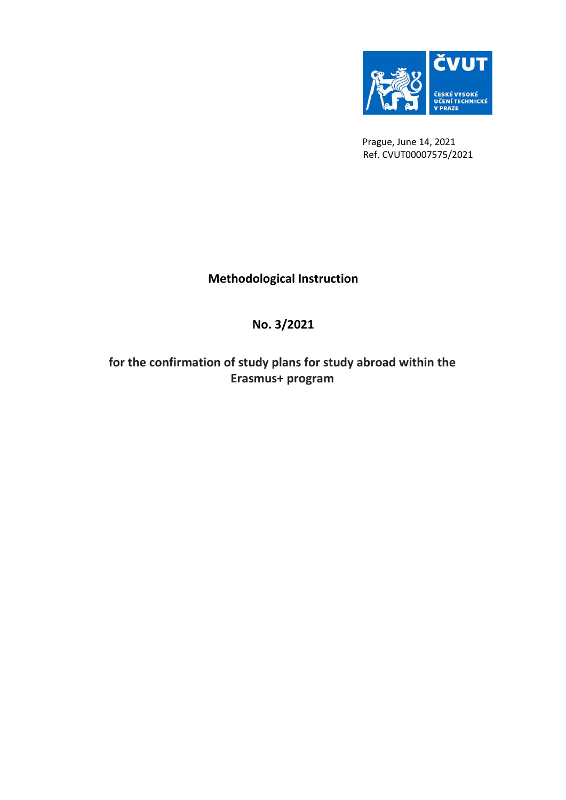

 Prague, June 14, 2021 Ref. CVUT00007575/2021

## **Methodological Instruction**

## **No. 3/2021**

**for the confirmation of study plans for study abroad within the Erasmus+ program**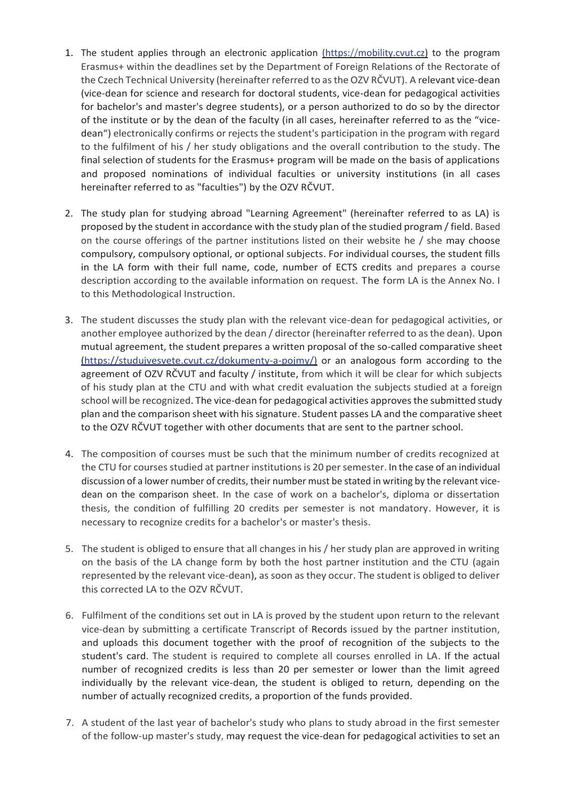- 1. The student applies through an electronic application *(https://mobility.cvut.cz)* to the program Erasmus+ within the deadlines set by the Department of Foreign Relations of the Rectorate of the Czech Technical University (hereinafter referred to as the OZV RČVUT). A relevant vice-dean (vice-dean for science and research for doctoral students, vice-dean for pedagogical activities for bachelor's and master's degree students), or a person authorized to do so by the director of the institute or by the dean of the faculty (in all cases, hereinafter referred to as the "vicedean") electronically confirms or rejects the student's participation in the program with regard to the fulfilment of his / her study obligations and the overall contribution to the study. The final selection of students for the Erasmus+ program will be made on the basis of applications and proposed nominations of individual faculties or university institutions (in all cases hereinafter referred to as "faculties") by the OZV RČVUT.
- 2. The study plan for studying abroad "Learning Agreement" (hereinafter referred to as LA) is proposed by the student in accordance with the study plan of the studied program / field. Based on the course offerings of the partner institutions listed on their website he / she may choose compulsory, compulsory optional, or optional subjects. For individual courses, the student fills in the LA form with their full name, code, number of ECTS credits and prepares a course description according to the available information on request. The form LA is the Annex No. I to this Methodological Instruction.
- 3. The student discusses the study plan with the relevant vice-dean for pedagogical activities, or another employee authorized by the dean / director (hereinafter referred to as the dean). Upon mutual agreement, the student prepares a written proposal of the so-called comparative sheet (https://studujvesvete.cvut.cz/dokumenty-a-pojmy/) or an analogous form according to the agreement of OZV RČVUT and faculty / institute, from which it will be clear for which subjects of his study plan at the CTU and with what credit evaluation the subjects studied at a foreign school will be recognized. The vice-dean for pedagogical activities approves the submitted study plan and the comparison sheet with his signature. Student passes LA and the comparative sheet to the OZV RČVUT together with other documents that are sent to the partner school.
- 4. The composition of courses must be such that the minimum number of credits recognized at the CTU for courses studied at partner institutions is 20 per semester. In the case of an individual discussion of a lower number of credits, their number must be stated in writing by the relevant vicedean on the comparison sheet. In the case of work on a bachelor's, diploma or dissertation thesis, the condition of fulfilling 20 credits per semester is not mandatory. However, it is necessary to recognize credits for a bachelor's or master's thesis.
- 5. The student is obliged to ensure that all changes in his / her study plan are approved in writing on the basis of the LA change form by both the host partner institution and the CTU (again represented by the relevant vice-dean), as soon as they occur. The student is obliged to deliver this corrected LA to the OZV RČVUT.
- 6. Fulfilment of the conditions set out in LA is proved by the student upon return to the relevant vice-dean by submitting a certificate Transcript of Records issued by the partner institution, and uploads this document together with the proof of recognition of the subjects to the student's card. The student is required to complete all courses enrolled in LA. If the actual number of recognized credits is less than 20 per semester or lower than the limit agreed individually by the relevant vice-dean, the student is obliged to return, depending on the number of actually recognized credits, a proportion of the funds provided.
- 7. A student of the last year of bachelor's study who plans to study abroad in the first semester of the follow-up master's study, may request the vice-dean for pedagogical activities to set an